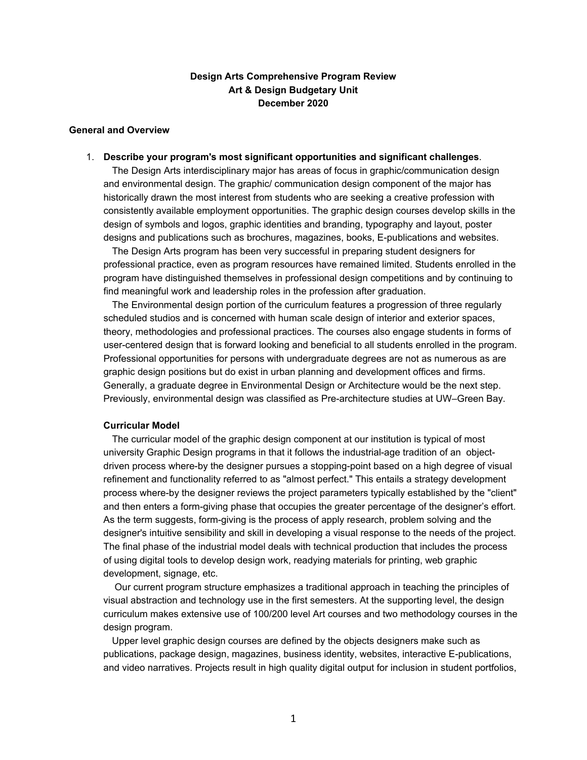# **Design Arts Comprehensive Program Review Art & Design Budgetary Unit December 2020**

#### **General and Overview**

1. **Describe your program's most significant opportunities and significant challenges**.

The Design Arts interdisciplinary major has areas of focus in graphic/communication design and environmental design. The graphic/ communication design component of the major has historically drawn the most interest from students who are seeking a creative profession with consistently available employment opportunities. The graphic design courses develop skills in the design of symbols and logos, graphic identities and branding, typography and layout, poster designs and publications such as brochures, magazines, books, E-publications and websites.

The Design Arts program has been very successful in preparing student designers for professional practice, even as program resources have remained limited. Students enrolled in the program have distinguished themselves in professional design competitions and by continuing to find meaningful work and leadership roles in the profession after graduation.

The Environmental design portion of the curriculum features a progression of three regularly scheduled studios and is concerned with human scale design of interior and exterior spaces, theory, methodologies and professional practices. The courses also engage students in forms of user-centered design that is forward looking and beneficial to all students enrolled in the program. Professional opportunities for persons with undergraduate degrees are not as numerous as are graphic design positions but do exist in urban planning and development offices and firms. Generally, a graduate degree in Environmental Design or Architecture would be the next step. Previously, environmental design was classified as Pre-architecture studies at UW–Green Bay.

#### **Curricular Model**

The curricular model of the graphic design component at our institution is typical of most university Graphic Design programs in that it follows the industrial-age tradition of an objectdriven process where-by the designer pursues a stopping-point based on a high degree of visual refinement and functionality referred to as "almost perfect." This entails a strategy development process where-by the designer reviews the project parameters typically established by the "client" and then enters a form-giving phase that occupies the greater percentage of the designer's effort. As the term suggests, form-giving is the process of apply research, problem solving and the designer's intuitive sensibility and skill in developing a visual response to the needs of the project. The final phase of the industrial model deals with technical production that includes the process of using digital tools to develop design work, readying materials for printing, web graphic development, signage, etc.

Our current program structure emphasizes a traditional approach in teaching the principles of visual abstraction and technology use in the first semesters. At the supporting level, the design curriculum makes extensive use of 100/200 level Art courses and two methodology courses in the design program.

Upper level graphic design courses are defined by the objects designers make such as publications, package design, magazines, business identity, websites, interactive E-publications, and video narratives. Projects result in high quality digital output for inclusion in student portfolios,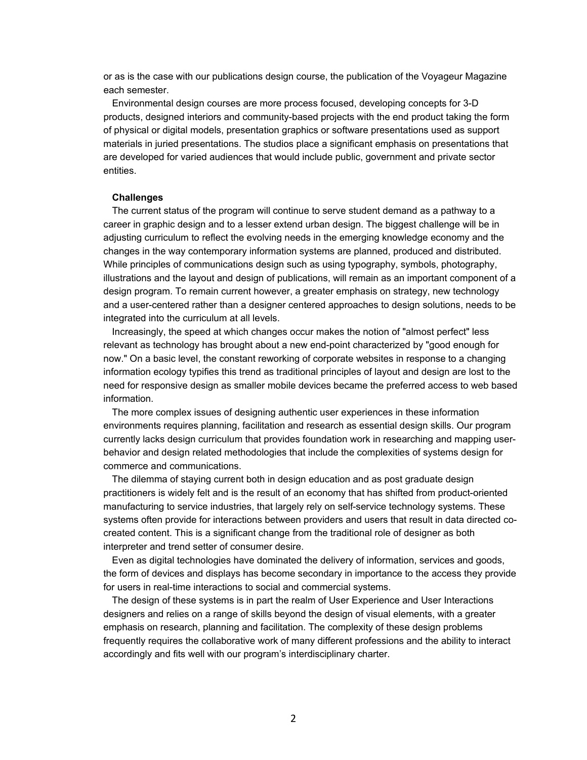or as is the case with our publications design course, the publication of the Voyageur Magazine each semester.

Environmental design courses are more process focused, developing concepts for 3-D products, designed interiors and community-based projects with the end product taking the form of physical or digital models, presentation graphics or software presentations used as support materials in juried presentations. The studios place a significant emphasis on presentations that are developed for varied audiences that would include public, government and private sector entities.

#### **Challenges**

The current status of the program will continue to serve student demand as a pathway to a career in graphic design and to a lesser extend urban design. The biggest challenge will be in adjusting curriculum to reflect the evolving needs in the emerging knowledge economy and the changes in the way contemporary information systems are planned, produced and distributed. While principles of communications design such as using typography, symbols, photography, illustrations and the layout and design of publications, will remain as an important component of a design program. To remain current however, a greater emphasis on strategy, new technology and a user-centered rather than a designer centered approaches to design solutions, needs to be integrated into the curriculum at all levels.

Increasingly, the speed at which changes occur makes the notion of "almost perfect" less relevant as technology has brought about a new end-point characterized by "good enough for now." On a basic level, the constant reworking of corporate websites in response to a changing information ecology typifies this trend as traditional principles of layout and design are lost to the need for responsive design as smaller mobile devices became the preferred access to web based information.

The more complex issues of designing authentic user experiences in these information environments requires planning, facilitation and research as essential design skills. Our program currently lacks design curriculum that provides foundation work in researching and mapping userbehavior and design related methodologies that include the complexities of systems design for commerce and communications.

The dilemma of staying current both in design education and as post graduate design practitioners is widely felt and is the result of an economy that has shifted from product-oriented manufacturing to service industries, that largely rely on self-service technology systems. These systems often provide for interactions between providers and users that result in data directed cocreated content. This is a significant change from the traditional role of designer as both interpreter and trend setter of consumer desire.

Even as digital technologies have dominated the delivery of information, services and goods, the form of devices and displays has become secondary in importance to the access they provide for users in real-time interactions to social and commercial systems.

The design of these systems is in part the realm of User Experience and User Interactions designers and relies on a range of skills beyond the design of visual elements, with a greater emphasis on research, planning and facilitation. The complexity of these design problems frequently requires the collaborative work of many different professions and the ability to interact accordingly and fits well with our program's interdisciplinary charter.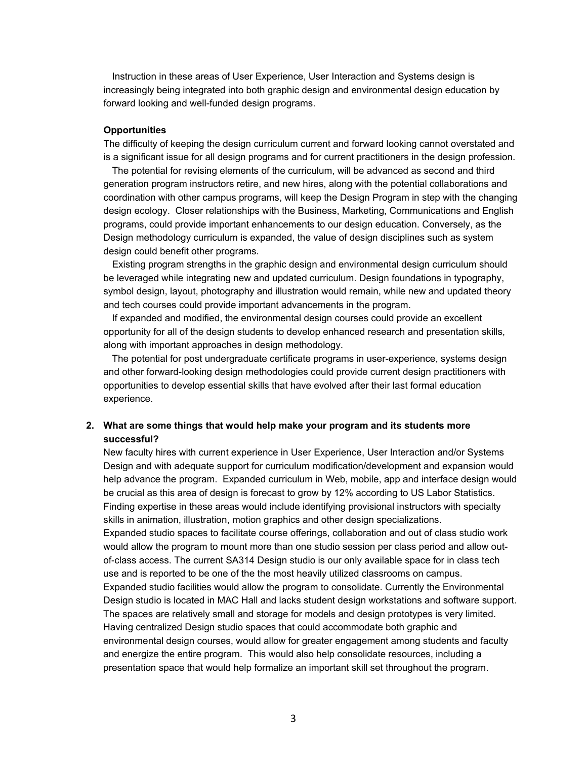Instruction in these areas of User Experience, User Interaction and Systems design is increasingly being integrated into both graphic design and environmental design education by forward looking and well-funded design programs.

#### **Opportunities**

The difficulty of keeping the design curriculum current and forward looking cannot overstated and is a significant issue for all design programs and for current practitioners in the design profession.

The potential for revising elements of the curriculum, will be advanced as second and third generation program instructors retire, and new hires, along with the potential collaborations and coordination with other campus programs, will keep the Design Program in step with the changing design ecology. Closer relationships with the Business, Marketing, Communications and English programs, could provide important enhancements to our design education. Conversely, as the Design methodology curriculum is expanded, the value of design disciplines such as system design could benefit other programs.

Existing program strengths in the graphic design and environmental design curriculum should be leveraged while integrating new and updated curriculum. Design foundations in typography, symbol design, layout, photography and illustration would remain, while new and updated theory and tech courses could provide important advancements in the program.

If expanded and modified, the environmental design courses could provide an excellent opportunity for all of the design students to develop enhanced research and presentation skills, along with important approaches in design methodology.

The potential for post undergraduate certificate programs in user-experience, systems design and other forward-looking design methodologies could provide current design practitioners with opportunities to develop essential skills that have evolved after their last formal education experience.

### **2. What are some things that would help make your program and its students more successful?**

New faculty hires with current experience in User Experience, User Interaction and/or Systems Design and with adequate support for curriculum modification/development and expansion would help advance the program. Expanded curriculum in Web, mobile, app and interface design would be crucial as this area of design is forecast to grow by 12% according to US Labor Statistics. Finding expertise in these areas would include identifying provisional instructors with specialty skills in animation, illustration, motion graphics and other design specializations. Expanded studio spaces to facilitate course offerings, collaboration and out of class studio work would allow the program to mount more than one studio session per class period and allow outof-class access. The current SA314 Design studio is our only available space for in class tech use and is reported to be one of the the most heavily utilized classrooms on campus. Expanded studio facilities would allow the program to consolidate. Currently the Environmental Design studio is located in MAC Hall and lacks student design workstations and software support. The spaces are relatively small and storage for models and design prototypes is very limited. Having centralized Design studio spaces that could accommodate both graphic and environmental design courses, would allow for greater engagement among students and faculty and energize the entire program. This would also help consolidate resources, including a presentation space that would help formalize an important skill set throughout the program.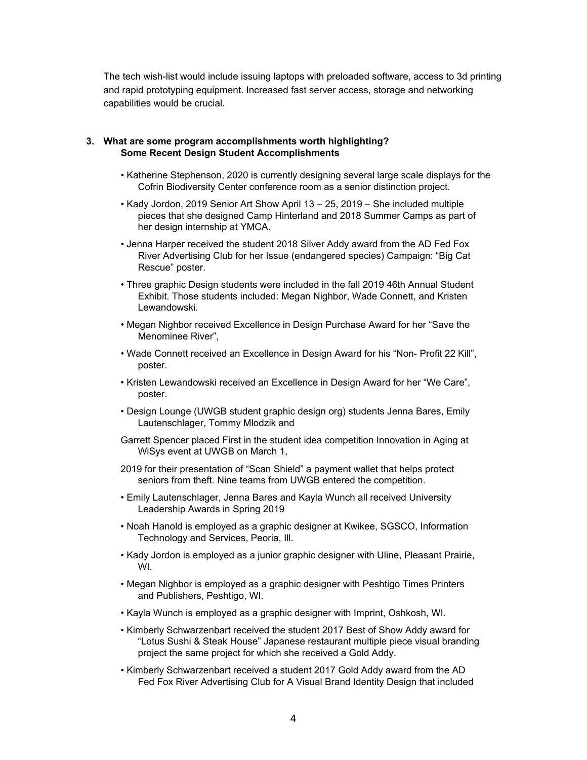The tech wish-list would include issuing laptops with preloaded software, access to 3d printing and rapid prototyping equipment. Increased fast server access, storage and networking capabilities would be crucial.

#### **3. What are some program accomplishments worth highlighting? Some Recent Design Student Accomplishments**

- Katherine Stephenson, 2020 is currently designing several large scale displays for the Cofrin Biodiversity Center conference room as a senior distinction project.
- Kady Jordon, 2019 Senior Art Show April 13 25, 2019 She included multiple pieces that she designed Camp Hinterland and 2018 Summer Camps as part of her design internship at YMCA.
- Jenna Harper received the student 2018 Silver Addy award from the AD Fed Fox River Advertising Club for her Issue (endangered species) Campaign: "Big Cat Rescue" poster.
- Three graphic Design students were included in the fall 2019 46th Annual Student Exhibit. Those students included: Megan Nighbor, Wade Connett, and Kristen Lewandowski.
- Megan Nighbor received Excellence in Design Purchase Award for her "Save the Menominee River",
- Wade Connett received an Excellence in Design Award for his "Non- Profit 22 Kill", poster.
- Kristen Lewandowski received an Excellence in Design Award for her "We Care", poster.
- Design Lounge (UWGB student graphic design org) students Jenna Bares, Emily Lautenschlager, Tommy Mlodzik and
- Garrett Spencer placed First in the student idea competition Innovation in Aging at WiSys event at UWGB on March 1,
- 2019 for their presentation of "Scan Shield" a payment wallet that helps protect seniors from theft. Nine teams from UWGB entered the competition.
- Emily Lautenschlager, Jenna Bares and Kayla Wunch all received University Leadership Awards in Spring 2019
- Noah Hanold is employed as a graphic designer at Kwikee, SGSCO, Information Technology and Services, Peoria, Ill.
- Kady Jordon is employed as a junior graphic designer with Uline, Pleasant Prairie, WI.
- Megan Nighbor is employed as a graphic designer with Peshtigo Times Printers and Publishers, Peshtigo, WI.
- Kayla Wunch is employed as a graphic designer with Imprint, Oshkosh, WI.
- Kimberly Schwarzenbart received the student 2017 Best of Show Addy award for "Lotus Sushi & Steak House" Japanese restaurant multiple piece visual branding project the same project for which she received a Gold Addy.
- Kimberly Schwarzenbart received a student 2017 Gold Addy award from the AD Fed Fox River Advertising Club for A Visual Brand Identity Design that included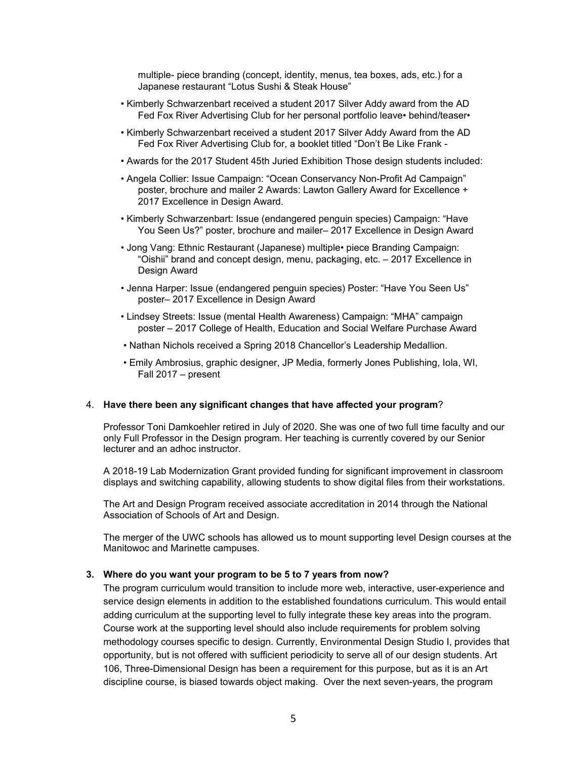multiple- piece branding (concept, identity, menus, tea boxes, ads, etc.) for a Japanese restaurant "Lotus Sushi & Steak House"

- Kimberly Schwarzenbart received a student 2017 Silver Addy award from the AD Fed Fox River Advertising Club for her personal portfolio leave• behind/teaser•
- Kimberly Schwarzenbart received a student 2017 Silver Addy Award from the AD Fed Fox River Advertising Club for, a booklet titled "Don't Be Like Frank -
- Awards for the 2017 Student 45th Juried Exhibition Those design students included:
- Angela Collier: Issue Campaign: "Ocean Conservancy Non-Profit Ad Campaign" poster, brochure and mailer 2 Awards: Lawton Gallery Award for Excellence + 2017 Excellence in Design Award.
- Kimberly Schwarzenbart: Issue (endangered penguin species) Campaign: "Have You Seen Us?" poster, brochure and mailer– 2017 Excellence in Design Award
- Jong Vang: Ethnic Restaurant (Japanese) multiple• piece Branding Campaign: "Oishii" brand and concept design, menu, packaging, etc. – 2017 Excellence in Design Award
- Jenna Harper: Issue (endangered penguin species) Poster: "Have You Seen Us" poster– 2017 Excellence in Design Award
- Lindsey Streets: Issue (mental Health Awareness) Campaign: "MHA" campaign poster – 2017 College of Health, Education and Social Welfare Purchase Award
- Nathan Nichols received a Spring 2018 Chancellor's Leadership Medallion.
- Emily Ambrosius, graphic designer, JP Media, formerly Jones Publishing, Iola, WI, Fall 2017 – present

#### 4. **Have there been any significant changes that have affected your program**?

Professor Toni Damkoehler retired in July of 2020. She was one of two full time faculty and our only Full Professor in the Design program. Her teaching is currently covered by our Senior lecturer and an adhoc instructor.

A 2018-19 Lab Modernization Grant provided funding for significant improvement in classroom displays and switching capability, allowing students to show digital files from their workstations.

The Art and Design Program received associate accreditation in 2014 through the National Association of Schools of Art and Design.

The merger of the UWC schools has allowed us to mount supporting level Design courses at the Manitowoc and Marinette campuses.

#### **3. Where do you want your program to be 5 to 7 years from now?**

The program curriculum would transition to include more web, interactive, user-experience and service design elements in addition to the established foundations curriculum. This would entail adding curriculum at the supporting level to fully integrate these key areas into the program. Course work at the supporting level should also include requirements for problem solving methodology courses specific to design. Currently, Environmental Design Studio I, provides that opportunity, but is not offered with sufficient periodicity to serve all of our design students. Art 106, Three-Dimensional Design has been a requirement for this purpose, but as it is an Art discipline course, is biased towards object making. Over the next seven-years, the program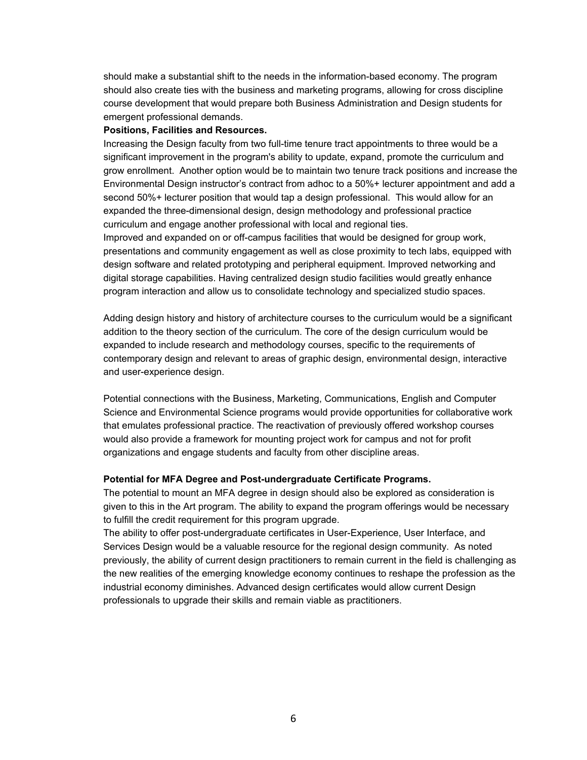should make a substantial shift to the needs in the information-based economy. The program should also create ties with the business and marketing programs, allowing for cross discipline course development that would prepare both Business Administration and Design students for emergent professional demands.

#### **Positions, Facilities and Resources.**

Increasing the Design faculty from two full-time tenure tract appointments to three would be a significant improvement in the program's ability to update, expand, promote the curriculum and grow enrollment. Another option would be to maintain two tenure track positions and increase the Environmental Design instructor's contract from adhoc to a 50%+ lecturer appointment and add a second 50%+ lecturer position that would tap a design professional. This would allow for an expanded the three-dimensional design, design methodology and professional practice curriculum and engage another professional with local and regional ties.

Improved and expanded on or off-campus facilities that would be designed for group work, presentations and community engagement as well as close proximity to tech labs, equipped with design software and related prototyping and peripheral equipment. Improved networking and digital storage capabilities. Having centralized design studio facilities would greatly enhance program interaction and allow us to consolidate technology and specialized studio spaces.

Adding design history and history of architecture courses to the curriculum would be a significant addition to the theory section of the curriculum. The core of the design curriculum would be expanded to include research and methodology courses, specific to the requirements of contemporary design and relevant to areas of graphic design, environmental design, interactive and user-experience design.

Potential connections with the Business, Marketing, Communications, English and Computer Science and Environmental Science programs would provide opportunities for collaborative work that emulates professional practice. The reactivation of previously offered workshop courses would also provide a framework for mounting project work for campus and not for profit organizations and engage students and faculty from other discipline areas.

### **Potential for MFA Degree and Post-undergraduate Certificate Programs.**

The potential to mount an MFA degree in design should also be explored as consideration is given to this in the Art program. The ability to expand the program offerings would be necessary to fulfill the credit requirement for this program upgrade.

The ability to offer post-undergraduate certificates in User-Experience, User Interface, and Services Design would be a valuable resource for the regional design community. As noted previously, the ability of current design practitioners to remain current in the field is challenging as the new realities of the emerging knowledge economy continues to reshape the profession as the industrial economy diminishes. Advanced design certificates would allow current Design professionals to upgrade their skills and remain viable as practitioners.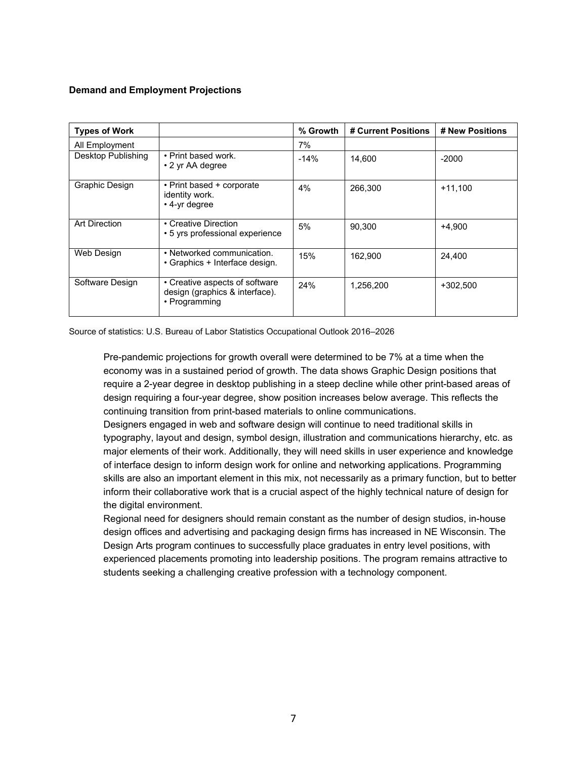# **Demand and Employment Projections**

| <b>Types of Work</b> |                                                                                   | % Growth | # Current Positions | # New Positions |
|----------------------|-----------------------------------------------------------------------------------|----------|---------------------|-----------------|
| All Employment       |                                                                                   | 7%       |                     |                 |
| Desktop Publishing   | • Print based work.<br>• 2 yr AA degree                                           | $-14%$   | 14.600              | $-2000$         |
| Graphic Design       | • Print based + corporate<br>identity work.<br>• 4-yr degree                      | 4%       | 266.300             | $+11.100$       |
| <b>Art Direction</b> | • Creative Direction<br>• 5 yrs professional experience                           | 5%       | 90.300              | $+4.900$        |
| Web Design           | • Networked communication.<br>• Graphics + Interface design.                      | 15%      | 162,900             | 24,400          |
| Software Design      | • Creative aspects of software<br>design (graphics & interface).<br>• Programming | 24%      | 1.256.200           | +302.500        |

Source of statistics: U.S. Bureau of Labor Statistics Occupational Outlook 2016–2026

Pre-pandemic projections for growth overall were determined to be 7% at a time when the economy was in a sustained period of growth. The data shows Graphic Design positions that require a 2-year degree in desktop publishing in a steep decline while other print-based areas of design requiring a four-year degree, show position increases below average. This reflects the continuing transition from print-based materials to online communications.

Designers engaged in web and software design will continue to need traditional skills in typography, layout and design, symbol design, illustration and communications hierarchy, etc. as major elements of their work. Additionally, they will need skills in user experience and knowledge of interface design to inform design work for online and networking applications. Programming skills are also an important element in this mix, not necessarily as a primary function, but to better inform their collaborative work that is a crucial aspect of the highly technical nature of design for the digital environment.

Regional need for designers should remain constant as the number of design studios, in-house design offices and advertising and packaging design firms has increased in NE Wisconsin. The Design Arts program continues to successfully place graduates in entry level positions, with experienced placements promoting into leadership positions. The program remains attractive to students seeking a challenging creative profession with a technology component.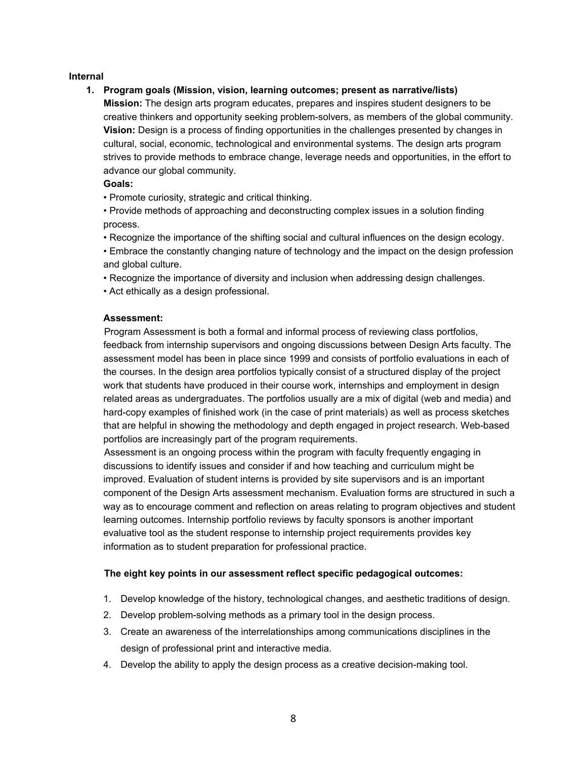### **Internal**

### **1. Program goals (Mission, vision, learning outcomes; present as narrative/lists)**

**Mission:** The design arts program educates, prepares and inspires student designers to be creative thinkers and opportunity seeking problem-solvers, as members of the global community. **Vision:** Design is a process of finding opportunities in the challenges presented by changes in cultural, social, economic, technological and environmental systems. The design arts program strives to provide methods to embrace change, leverage needs and opportunities, in the effort to advance our global community.

### **Goals:**

• Promote curiosity, strategic and critical thinking.

• Provide methods of approaching and deconstructing complex issues in a solution finding process.

• Recognize the importance of the shifting social and cultural influences on the design ecology.

• Embrace the constantly changing nature of technology and the impact on the design profession and global culture.

- Recognize the importance of diversity and inclusion when addressing design challenges.
- Act ethically as a design professional.

### **Assessment:**

Program Assessment is both a formal and informal process of reviewing class portfolios, feedback from internship supervisors and ongoing discussions between Design Arts faculty. The assessment model has been in place since 1999 and consists of portfolio evaluations in each of the courses. In the design area portfolios typically consist of a structured display of the project work that students have produced in their course work, internships and employment in design related areas as undergraduates. The portfolios usually are a mix of digital (web and media) and hard-copy examples of finished work (in the case of print materials) as well as process sketches that are helpful in showing the methodology and depth engaged in project research. Web-based portfolios are increasingly part of the program requirements.

Assessment is an ongoing process within the program with faculty frequently engaging in discussions to identify issues and consider if and how teaching and curriculum might be improved. Evaluation of student interns is provided by site supervisors and is an important component of the Design Arts assessment mechanism. Evaluation forms are structured in such a way as to encourage comment and reflection on areas relating to program objectives and student learning outcomes. Internship portfolio reviews by faculty sponsors is another important evaluative tool as the student response to internship project requirements provides key information as to student preparation for professional practice.

# **The eight key points in our assessment reflect specific pedagogical outcomes:**

- 1. Develop knowledge of the history, technological changes, and aesthetic traditions of design.
- 2. Develop problem-solving methods as a primary tool in the design process.
- 3. Create an awareness of the interrelationships among communications disciplines in the design of professional print and interactive media.
- 4. Develop the ability to apply the design process as a creative decision-making tool.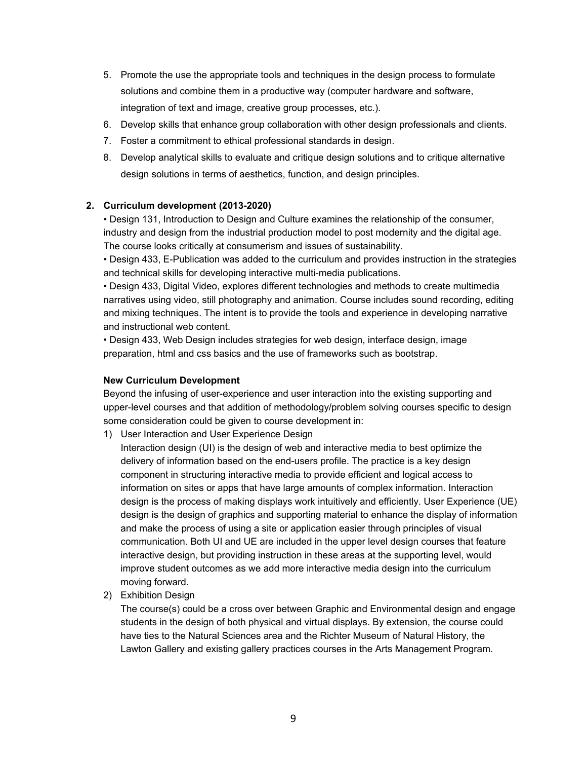- 5. Promote the use the appropriate tools and techniques in the design process to formulate solutions and combine them in a productive way (computer hardware and software, integration of text and image, creative group processes, etc.).
- 6. Develop skills that enhance group collaboration with other design professionals and clients.
- 7. Foster a commitment to ethical professional standards in design.
- 8. Develop analytical skills to evaluate and critique design solutions and to critique alternative design solutions in terms of aesthetics, function, and design principles.

### **2. Curriculum development (2013-2020)**

• Design 131, Introduction to Design and Culture examines the relationship of the consumer, industry and design from the industrial production model to post modernity and the digital age. The course looks critically at consumerism and issues of sustainability.

• Design 433, E-Publication was added to the curriculum and provides instruction in the strategies and technical skills for developing interactive multi-media publications.

• Design 433, Digital Video, explores different technologies and methods to create multimedia narratives using video, still photography and animation. Course includes sound recording, editing and mixing techniques. The intent is to provide the tools and experience in developing narrative and instructional web content.

• Design 433, Web Design includes strategies for web design, interface design, image preparation, html and css basics and the use of frameworks such as bootstrap.

### **New Curriculum Development**

Beyond the infusing of user-experience and user interaction into the existing supporting and upper-level courses and that addition of methodology/problem solving courses specific to design some consideration could be given to course development in:

1) User Interaction and User Experience Design

Interaction design (UI) is the design of web and interactive media to best optimize the delivery of information based on the end-users profile. The practice is a key design component in structuring interactive media to provide efficient and logical access to information on sites or apps that have large amounts of complex information. Interaction design is the process of making displays work intuitively and efficiently. User Experience (UE) design is the design of graphics and supporting material to enhance the display of information and make the process of using a site or application easier through principles of visual communication. Both UI and UE are included in the upper level design courses that feature interactive design, but providing instruction in these areas at the supporting level, would improve student outcomes as we add more interactive media design into the curriculum moving forward.

2) Exhibition Design

The course(s) could be a cross over between Graphic and Environmental design and engage students in the design of both physical and virtual displays. By extension, the course could have ties to the Natural Sciences area and the Richter Museum of Natural History, the Lawton Gallery and existing gallery practices courses in the Arts Management Program.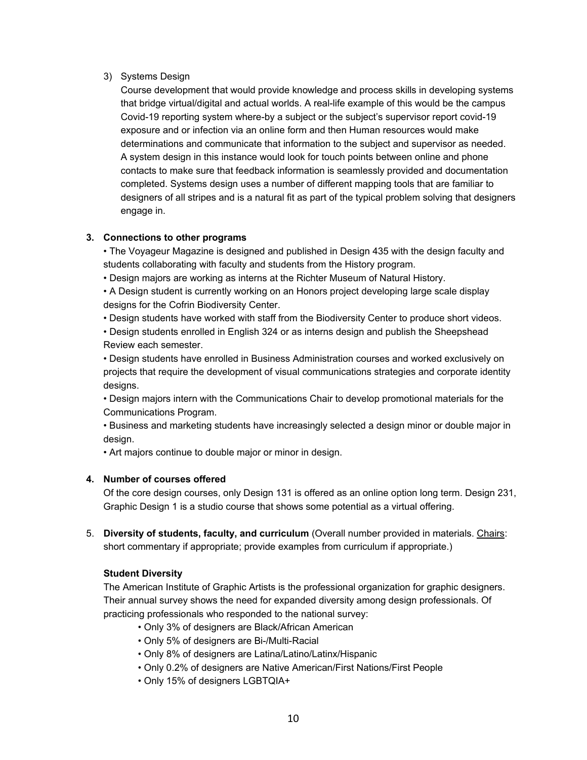# 3) Systems Design

Course development that would provide knowledge and process skills in developing systems that bridge virtual/digital and actual worlds. A real-life example of this would be the campus Covid-19 reporting system where-by a subject or the subject's supervisor report covid-19 exposure and or infection via an online form and then Human resources would make determinations and communicate that information to the subject and supervisor as needed. A system design in this instance would look for touch points between online and phone contacts to make sure that feedback information is seamlessly provided and documentation completed. Systems design uses a number of different mapping tools that are familiar to designers of all stripes and is a natural fit as part of the typical problem solving that designers engage in.

# **3. Connections to other programs**

• The Voyageur Magazine is designed and published in Design 435 with the design faculty and students collaborating with faculty and students from the History program.

• Design majors are working as interns at the Richter Museum of Natural History.

• A Design student is currently working on an Honors project developing large scale display designs for the Cofrin Biodiversity Center.

• Design students have worked with staff from the Biodiversity Center to produce short videos.

• Design students enrolled in English 324 or as interns design and publish the Sheepshead Review each semester.

• Design students have enrolled in Business Administration courses and worked exclusively on projects that require the development of visual communications strategies and corporate identity designs.

• Design majors intern with the Communications Chair to develop promotional materials for the Communications Program.

• Business and marketing students have increasingly selected a design minor or double major in design.

• Art majors continue to double major or minor in design.

# **4. Number of courses offered**

Of the core design courses, only Design 131 is offered as an online option long term. Design 231, Graphic Design 1 is a studio course that shows some potential as a virtual offering.

5. **Diversity of students, faculty, and curriculum** (Overall number provided in materials. Chairs: short commentary if appropriate; provide examples from curriculum if appropriate.)

# **Student Diversity**

The American Institute of Graphic Artists is the professional organization for graphic designers. Their annual survey shows the need for expanded diversity among design professionals. Of practicing professionals who responded to the national survey:

- Only 3% of designers are Black/African American
- Only 5% of designers are Bi-/Multi-Racial
- Only 8% of designers are Latina/Latino/Latinx/Hispanic
- Only 0.2% of designers are Native American/First Nations/First People
- Only 15% of designers LGBTQIA+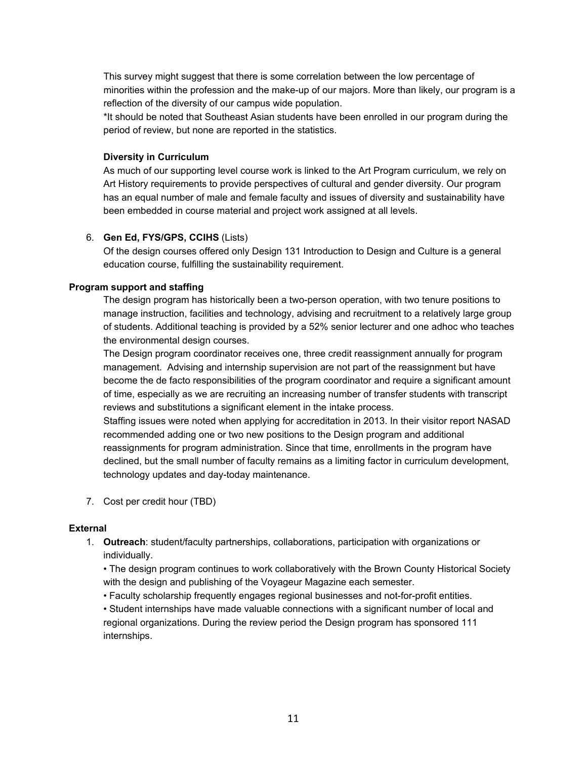This survey might suggest that there is some correlation between the low percentage of minorities within the profession and the make-up of our majors. More than likely, our program is a reflection of the diversity of our campus wide population.

\*It should be noted that Southeast Asian students have been enrolled in our program during the period of review, but none are reported in the statistics.

#### **Diversity in Curriculum**

As much of our supporting level course work is linked to the Art Program curriculum, we rely on Art History requirements to provide perspectives of cultural and gender diversity. Our program has an equal number of male and female faculty and issues of diversity and sustainability have been embedded in course material and project work assigned at all levels.

#### 6. **Gen Ed, FYS/GPS, CCIHS** (Lists)

Of the design courses offered only Design 131 Introduction to Design and Culture is a general education course, fulfilling the sustainability requirement.

### **Program support and staffing**

The design program has historically been a two-person operation, with two tenure positions to manage instruction, facilities and technology, advising and recruitment to a relatively large group of students. Additional teaching is provided by a 52% senior lecturer and one adhoc who teaches the environmental design courses.

The Design program coordinator receives one, three credit reassignment annually for program management. Advising and internship supervision are not part of the reassignment but have become the de facto responsibilities of the program coordinator and require a significant amount of time, especially as we are recruiting an increasing number of transfer students with transcript reviews and substitutions a significant element in the intake process.

Staffing issues were noted when applying for accreditation in 2013. In their visitor report NASAD recommended adding one or two new positions to the Design program and additional reassignments for program administration. Since that time, enrollments in the program have declined, but the small number of faculty remains as a limiting factor in curriculum development, technology updates and day-today maintenance.

7. Cost per credit hour (TBD)

# **External**

1. **Outreach**: student/faculty partnerships, collaborations, participation with organizations or individually.

• The design program continues to work collaboratively with the Brown County Historical Society with the design and publishing of the Voyageur Magazine each semester.

• Faculty scholarship frequently engages regional businesses and not-for-profit entities.

• Student internships have made valuable connections with a significant number of local and regional organizations. During the review period the Design program has sponsored 111 internships.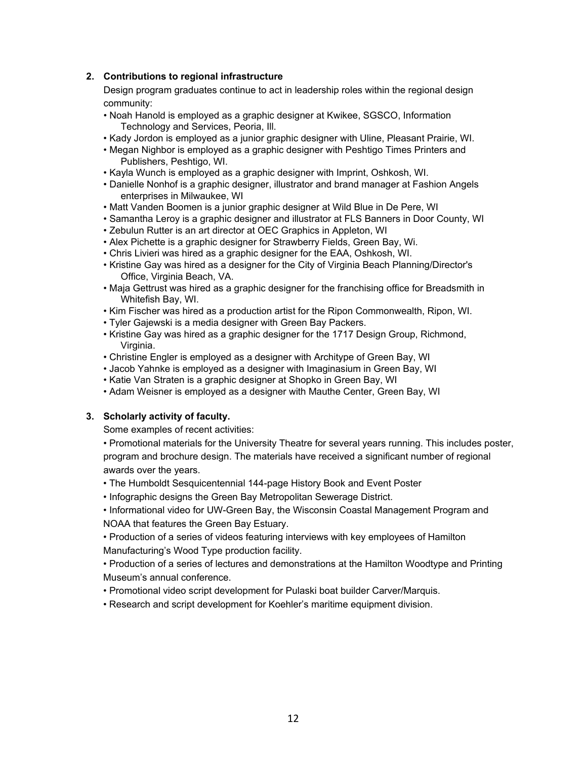# **2. Contributions to regional infrastructure**

Design program graduates continue to act in leadership roles within the regional design community:

- Noah Hanold is employed as a graphic designer at Kwikee, SGSCO, Information Technology and Services, Peoria, Ill.
- Kady Jordon is employed as a junior graphic designer with Uline, Pleasant Prairie, WI.
- Megan Nighbor is employed as a graphic designer with Peshtigo Times Printers and Publishers, Peshtigo, WI.
- Kayla Wunch is employed as a graphic designer with Imprint, Oshkosh, WI.
- Danielle Nonhof is a graphic designer, illustrator and brand manager at Fashion Angels enterprises in Milwaukee, WI
- Matt Vanden Boomen is a junior graphic designer at Wild Blue in De Pere, WI
- Samantha Leroy is a graphic designer and illustrator at FLS Banners in Door County, WI
- Zebulun Rutter is an art director at OEC Graphics in Appleton, WI
- Alex Pichette is a graphic designer for Strawberry Fields, Green Bay, Wi.
- Chris Livieri was hired as a graphic designer for the EAA, Oshkosh, WI.
- Kristine Gay was hired as a designer for the City of Virginia Beach Planning/Director's Office, Virginia Beach, VA.
- Maja Gettrust was hired as a graphic designer for the franchising office for Breadsmith in Whitefish Bay, WI.
- Kim Fischer was hired as a production artist for the Ripon Commonwealth, Ripon, WI.
- Tyler Gajewski is a media designer with Green Bay Packers.
- Kristine Gay was hired as a graphic designer for the 1717 Design Group, Richmond, Virginia.
- Christine Engler is employed as a designer with Architype of Green Bay, WI
- Jacob Yahnke is employed as a designer with Imaginasium in Green Bay, WI
- Katie Van Straten is a graphic designer at Shopko in Green Bay, WI
- Adam Weisner is employed as a designer with Mauthe Center, Green Bay, WI

# **3. Scholarly activity of faculty.**

Some examples of recent activities:

• Promotional materials for the University Theatre for several years running. This includes poster, program and brochure design. The materials have received a significant number of regional awards over the years.

- The Humboldt Sesquicentennial 144-page History Book and Event Poster
- Infographic designs the Green Bay Metropolitan Sewerage District.
- Informational video for UW-Green Bay, the Wisconsin Coastal Management Program and NOAA that features the Green Bay Estuary.

• Production of a series of videos featuring interviews with key employees of Hamilton Manufacturing's Wood Type production facility.

• Production of a series of lectures and demonstrations at the Hamilton Woodtype and Printing Museum's annual conference.

- Promotional video script development for Pulaski boat builder Carver/Marquis.
- Research and script development for Koehler's maritime equipment division.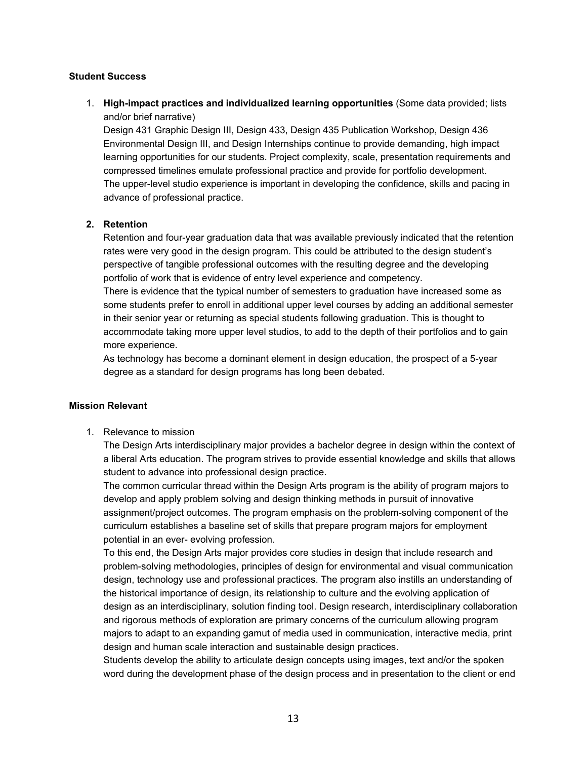### **Student Success**

1. **High-impact practices and individualized learning opportunities** (Some data provided; lists and/or brief narrative)

Design 431 Graphic Design III, Design 433, Design 435 Publication Workshop, Design 436 Environmental Design III, and Design Internships continue to provide demanding, high impact learning opportunities for our students. Project complexity, scale, presentation requirements and compressed timelines emulate professional practice and provide for portfolio development. The upper-level studio experience is important in developing the confidence, skills and pacing in advance of professional practice.

### **2. Retention**

Retention and four-year graduation data that was available previously indicated that the retention rates were very good in the design program. This could be attributed to the design student's perspective of tangible professional outcomes with the resulting degree and the developing portfolio of work that is evidence of entry level experience and competency.

There is evidence that the typical number of semesters to graduation have increased some as some students prefer to enroll in additional upper level courses by adding an additional semester in their senior year or returning as special students following graduation. This is thought to accommodate taking more upper level studios, to add to the depth of their portfolios and to gain more experience.

As technology has become a dominant element in design education, the prospect of a 5-year degree as a standard for design programs has long been debated.

### **Mission Relevant**

1. Relevance to mission

The Design Arts interdisciplinary major provides a bachelor degree in design within the context of a liberal Arts education. The program strives to provide essential knowledge and skills that allows student to advance into professional design practice.

The common curricular thread within the Design Arts program is the ability of program majors to develop and apply problem solving and design thinking methods in pursuit of innovative assignment/project outcomes. The program emphasis on the problem-solving component of the curriculum establishes a baseline set of skills that prepare program majors for employment potential in an ever- evolving profession.

To this end, the Design Arts major provides core studies in design that include research and problem-solving methodologies, principles of design for environmental and visual communication design, technology use and professional practices. The program also instills an understanding of the historical importance of design, its relationship to culture and the evolving application of design as an interdisciplinary, solution finding tool. Design research, interdisciplinary collaboration and rigorous methods of exploration are primary concerns of the curriculum allowing program majors to adapt to an expanding gamut of media used in communication, interactive media, print design and human scale interaction and sustainable design practices.

Students develop the ability to articulate design concepts using images, text and/or the spoken word during the development phase of the design process and in presentation to the client or end